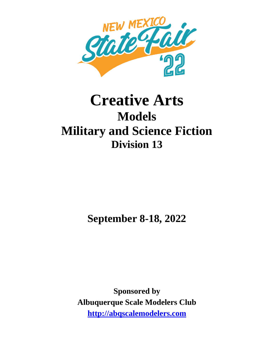

# **Creative Arts Models Military and Science Fiction Division 13**

**September 8-18, 2022**

**Sponsored by Albuquerque Scale Modelers Club http://abqscalemodelers.com**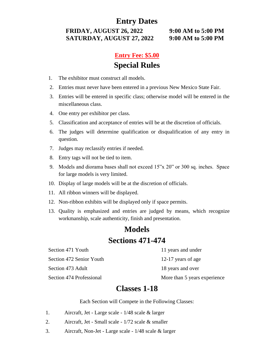#### **Entry Dates**

**FRIDAY, AUGUST 26, 2022 9:00 AM to 5:00 PM SATURDAY, AUGUST 27, 2022 9:00 AM to 5:00 PM**

### **Entry Fee: \$5.00 Special Rules**

- 1. The exhibitor must construct all models.
- 2. Entries must never have been entered in a previous New Mexico State Fair.
- 3. Entries will be entered in specific class; otherwise model will be entered in the miscellaneous class.
- 4. One entry per exhibitor per class.
- 5. Classification and acceptance of entries will be at the discretion of officials.
- 6. The judges will determine qualification or disqualification of any entry in question.
- 7. Judges may reclassify entries if needed.
- 8. Entry tags will not be tied to item.
- 9. Models and diorama bases shall not exceed 15"x 20" or 300 sq. inches. Space for large models is very limited.
- 10. Display of large models will be at the discretion of officials.
- 11. All ribbon winners will be displayed.
- 12. Non-ribbon exhibits will be displayed only if space permits.
- 13. Quality is emphasized and entries are judged by means, which recognize workmanship, scale authenticity, finish and presentation.

## **Models Sections 471-474**

Section 471 Youth 11 years and under Section 472 Senior Youth 12-17 years of age Section 473 Adult 18 years and over

Section 474 Professional More than 5 years experience

#### **Classes 1-18**

Each Section will Compete in the Following Classes:

- 1. Aircraft, Jet Large scale 1/48 scale & larger
- 2. Aircraft, Jet Small scale 1/72 scale & smaller
- 3. Aircraft, Non-Jet Large scale 1/48 scale & larger